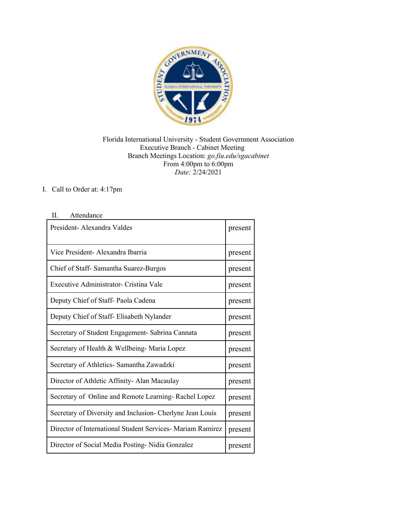

## Florida International University - Student Government Association Executive Branch - Cabinet Meeting Branch Meetings Location: *go.fiu.edu/sgacabinet* From 4:00pm to 6:00pm *Date:* 2/24/2021

## I. Call to Order at: 4:17pm

| President- Alexandra Valdes                                 | present |
|-------------------------------------------------------------|---------|
| Vice President- Alexandra Ibarria                           | present |
| Chief of Staff-Samantha Suarez-Burgos                       | present |
| Executive Administrator- Cristina Vale                      | present |
| Deputy Chief of Staff-Paola Cadena                          | present |
| Deputy Chief of Staff- Elisabeth Nylander                   | present |
| Secretary of Student Engagement- Sabrina Cannata            | present |
| Secretary of Health & Wellbeing-Maria Lopez                 | present |
| Secretary of Athletics- Samantha Zawadzki                   | present |
| Director of Athletic Affinity-Alan Macaulay                 | present |
| Secretary of Online and Remote Learning-Rachel Lopez        | present |
| Secretary of Diversity and Inclusion- Cherlyne Jean Louis   | present |
| Director of International Student Services - Mariam Ramirez | present |
| Director of Social Media Posting-Nidia Gonzalez             | present |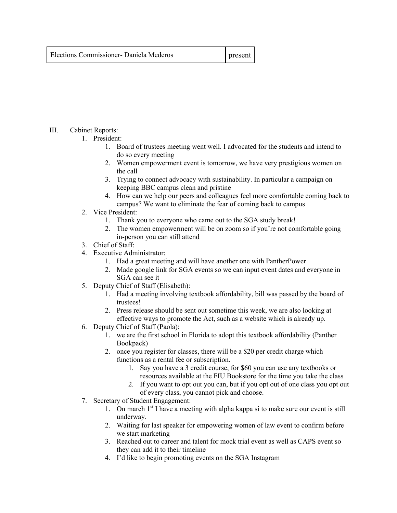| Elections Commissioner- Daniela Mederos | present |
|-----------------------------------------|---------|
|                                         |         |

## III. Cabinet Reports:

- 1. President:
	- 1. Board of trustees meeting went well. I advocated for the students and intend to do so every meeting
	- 2. Women empowerment event is tomorrow, we have very prestigious women on the call
	- 3. Trying to connect advocacy with sustainability. In particular a campaign on keeping BBC campus clean and pristine
	- 4. How can we help our peers and colleagues feel more comfortable coming back to campus? We want to eliminate the fear of coming back to campus
- 2. Vice President:
	- 1. Thank you to everyone who came out to the SGA study break!
	- 2. The women empowerment will be on zoom so if you're not comfortable going in-person you can still attend
- 3. Chief of Staff:
- 4. Executive Administrator:
	- 1. Had a great meeting and will have another one with PantherPower
	- 2. Made google link for SGA events so we can input event dates and everyone in SGA can see it
- 5. Deputy Chief of Staff (Elisabeth):
	- 1. Had a meeting involving textbook affordability, bill was passed by the board of trustees!
	- 2. Press release should be sent out sometime this week, we are also looking at effective ways to promote the Act, such as a website which is already up.
- 6. Deputy Chief of Staff (Paola):
	- 1. we are the first school in Florida to adopt this textbook affordability (Panther Bookpack)
	- 2. once you register for classes, there will be a \$20 per credit charge which functions as a rental fee or subscription.
		- 1. Say you have a 3 credit course, for \$60 you can use any textbooks or resources available at the FIU Bookstore for the time you take the class
		- 2. If you want to opt out you can, but if you opt out of one class you opt out of every class, you cannot pick and choose.
- 7. Secretary of Student Engagement:
	- 1. On march  $1<sup>st</sup>$  I have a meeting with alpha kappa si to make sure our event is still underway.
	- 2. Waiting for last speaker for empowering women of law event to confirm before we start marketing
	- 3. Reached out to career and talent for mock trial event as well as CAPS event so they can add it to their timeline
	- 4. I'd like to begin promoting events on the SGA Instagram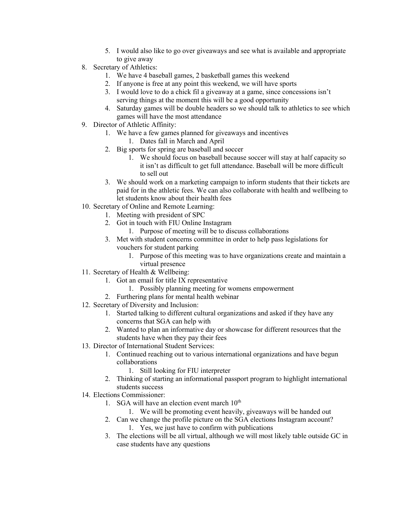- 5. I would also like to go over giveaways and see what is available and appropriate to give away
- 8. Secretary of Athletics:
	- 1. We have 4 baseball games, 2 basketball games this weekend
	- 2. If anyone is free at any point this weekend, we will have sports
	- 3. I would love to do a chick fil a giveaway at a game, since concessions isn't serving things at the moment this will be a good opportunity
	- 4. Saturday games will be double headers so we should talk to athletics to see which games will have the most attendance
- 9. Director of Athletic Affinity:
	- 1. We have a few games planned for giveaways and incentives
		- 1. Dates fall in March and April
	- 2. Big sports for spring are baseball and soccer
		- 1. We should focus on baseball because soccer will stay at half capacity so it isn't as difficult to get full attendance. Baseball will be more difficult to sell out
	- 3. We should work on a marketing campaign to inform students that their tickets are paid for in the athletic fees. We can also collaborate with health and wellbeing to let students know about their health fees
- 10. Secretary of Online and Remote Learning:
	- 1. Meeting with president of SPC
	- 2. Got in touch with FIU Online Instagram
		- 1. Purpose of meeting will be to discuss collaborations
	- 3. Met with student concerns committee in order to help pass legislations for vouchers for student parking
		- 1. Purpose of this meeting was to have organizations create and maintain a virtual presence
- 11. Secretary of Health & Wellbeing:
	- 1. Got an email for title IX representative
		- 1. Possibly planning meeting for womens empowerment
	- 2. Furthering plans for mental health webinar
- 12. Secretary of Diversity and Inclusion:
	- 1. Started talking to different cultural organizations and asked if they have any concerns that SGA can help with
	- 2. Wanted to plan an informative day or showcase for different resources that the students have when they pay their fees
- 13. Director of International Student Services:
	- 1. Continued reaching out to various international organizations and have begun collaborations
		- 1. Still looking for FIU interpreter
	- 2. Thinking of starting an informational passport program to highlight international students success
- 14. Elections Commissioner:
	- 1. SGA will have an election event march  $10^{th}$ 
		- 1. We will be promoting event heavily, giveaways will be handed out
	- 2. Can we change the profile picture on the SGA elections Instagram account?
		- 1. Yes, we just have to confirm with publications
	- 3. The elections will be all virtual, although we will most likely table outside GC in case students have any questions